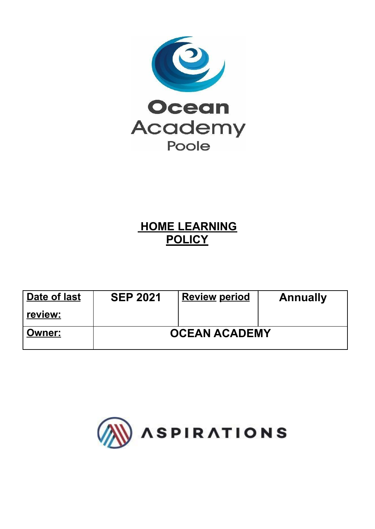

# **HOME LEARNING POLICY**

| Date of last  | <b>SEP 2021</b>      | <b>Review period</b> | <b>Annually</b> |
|---------------|----------------------|----------------------|-----------------|
| review:       |                      |                      |                 |
| <b>Owner:</b> | <b>OCEAN ACADEMY</b> |                      |                 |

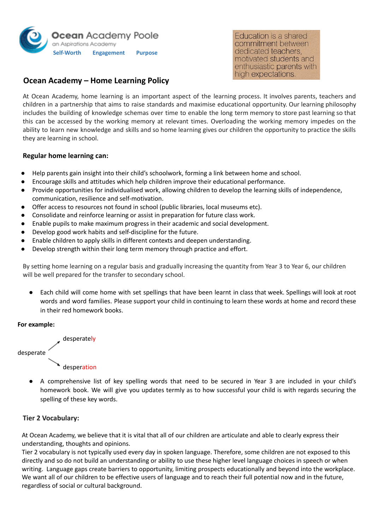

# **Ocean Academy – Home Learning Policy**

At Ocean Academy, home learning is an important aspect of the learning process. It involves parents, teachers and children in a partnership that aims to raise standards and maximise educational opportunity. Our learning philosophy includes the building of knowledge schemas over time to enable the long term memory to store past learning so that this can be accessed by the working memory at relevant times. Overloading the working memory impedes on the ability to learn new knowledge and skills and so home learning gives our children the opportunity to practice the skills they are learning in school.

#### **Regular home learning can:**

- Help parents gain insight into their child's schoolwork, forming a link between home and school.
- Encourage skills and attitudes which help children improve their educational performance.
- Provide opportunities for individualised work, allowing children to develop the learning skills of independence, communication, resilience and self-motivation.
- Offer access to resources not found in school (public libraries, local museums etc).
- Consolidate and reinforce learning or assist in preparation for future class work.
- Enable pupils to make maximum progress in their academic and social development.
- Develop good work habits and self-discipline for the future.
- Enable children to apply skills in different contexts and deepen understanding.
- Develop strength within their long term memory through practice and effort.

By setting home learning on a regular basis and gradually increasing the quantity from Year 3 to Year 6, our children will be well prepared for the transfer to secondary school.

● Each child will come home with set spellings that have been learnt in class that week. Spellings will look at root words and word families. Please support your child in continuing to learn these words at home and record these in their red homework books.

#### **For example:**



● A comprehensive list of key spelling words that need to be secured in Year 3 are included in your child's homework book. We will give you updates termly as to how successful your child is with regards securing the spelling of these key words.

#### **Tier 2 Vocabulary:**

At Ocean Academy, we believe that it is vital that all of our children are articulate and able to clearly express their understanding, thoughts and opinions.

Tier 2 vocabulary is not typically used every day in spoken language. Therefore, some children are not exposed to this directly and so do not build an understanding or ability to use these higher level language choices in speech or when writing. Language gaps create barriers to opportunity, limiting prospects educationally and beyond into the workplace. We want all of our children to be effective users of language and to reach their full potential now and in the future, regardless of social or cultural background.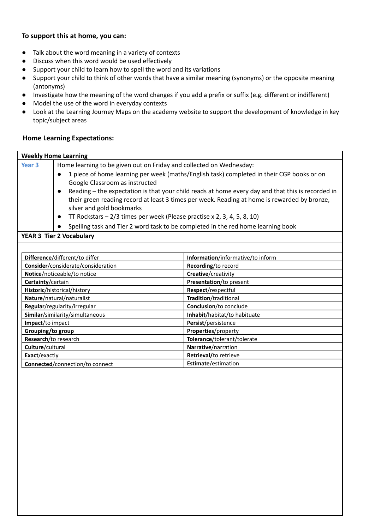# **To support this at home, you can:**

- Talk about the word meaning in a variety of contexts
- Discuss when this word would be used effectively
- Support your child to learn how to spell the word and its variations
- Support your child to think of other words that have a similar meaning (synonyms) or the opposite meaning (antonyms)
- Investigate how the meaning of the word changes if you add a prefix or suffix (e.g. different or indifferent)
- Model the use of the word in everyday contexts
- Look at the Learning Journey Maps on the academy website to support the development of knowledge in key topic/subject areas

# **Home Learning Expectations:**

|                                    | <b>Weekly Home Learning</b>                                                                                    |                                   |  |
|------------------------------------|----------------------------------------------------------------------------------------------------------------|-----------------------------------|--|
| Year <sub>3</sub>                  | Home learning to be given out on Friday and collected on Wednesday:                                            |                                   |  |
|                                    | 1 piece of home learning per week (maths/English task) completed in their CGP books or on                      |                                   |  |
|                                    | Google Classroom as instructed                                                                                 |                                   |  |
|                                    | Reading - the expectation is that your child reads at home every day and that this is recorded in<br>$\bullet$ |                                   |  |
|                                    | their green reading record at least 3 times per week. Reading at home is rewarded by bronze,                   |                                   |  |
|                                    | silver and gold bookmarks                                                                                      |                                   |  |
|                                    | TT Rockstars $-2/3$ times per week (Please practise x 2, 3, 4, 5, 8, 10)                                       |                                   |  |
|                                    | Spelling task and Tier 2 word task to be completed in the red home learning book                               |                                   |  |
|                                    | <b>YEAR 3 Tier 2 Vocabulary</b>                                                                                |                                   |  |
|                                    |                                                                                                                |                                   |  |
| Difference/different/to differ     |                                                                                                                | Information/informative/to inform |  |
| Consider/considerate/consideration |                                                                                                                | Recording/to record               |  |
| Notice/noticeable/to notice        |                                                                                                                | Creative/creativity               |  |
| Certainty/certain                  |                                                                                                                | Presentation/to present           |  |
| Historic/historical/history        |                                                                                                                | Respect/respectful                |  |
| Nature/natural/naturalist          |                                                                                                                | Tradition/traditional             |  |
| Regular/regularity/irregular       |                                                                                                                | Conclusion/to conclude            |  |
| Similar/similarity/simultaneous    |                                                                                                                | Inhabit/habitat/to habituate      |  |
| Impact/to impact                   |                                                                                                                | Persist/persistence               |  |
| Grouping/to group                  |                                                                                                                | Properties/property               |  |
|                                    | Research/to research                                                                                           | Tolerance/tolerant/tolerate       |  |
| Culture/cultural                   |                                                                                                                | Narrative/narration               |  |
| Exact/exactly                      |                                                                                                                | Retrieval/to retrieve             |  |
| Connected/connection/to connect    |                                                                                                                | Estimate/estimation               |  |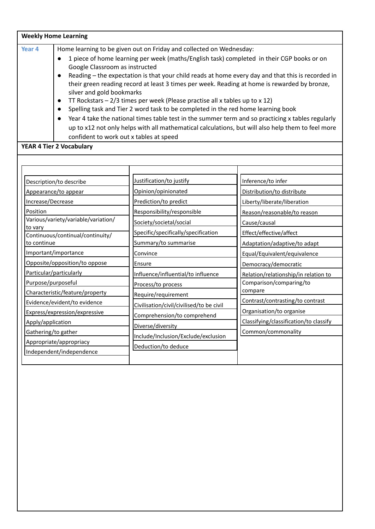|                   | <b>Weekly Home Learning</b>                                                                                                                                                                                                                 |
|-------------------|---------------------------------------------------------------------------------------------------------------------------------------------------------------------------------------------------------------------------------------------|
| Year <sub>4</sub> | Home learning to be given out on Friday and collected on Wednesday:                                                                                                                                                                         |
|                   | 1 piece of home learning per week (maths/English task) completed in their CGP books or on<br>Google Classroom as instructed                                                                                                                 |
|                   | Reading – the expectation is that your child reads at home every day and that this is recorded in<br>$\bullet$<br>their green reading record at least 3 times per week. Reading at home is rewarded by bronze,<br>silver and gold bookmarks |
|                   | TT Rockstars $-2/3$ times per week (Please practise all x tables up to x 12)<br>$\bullet$                                                                                                                                                   |
|                   | Spelling task and Tier 2 word task to be completed in the red home learning book                                                                                                                                                            |
|                   | Year 4 take the national times table test in the summer term and so practicing x tables regularly<br>$\bullet$                                                                                                                              |
|                   | up to x12 not only helps with all mathematical calculations, but will also help them to feel more                                                                                                                                           |
|                   | confident to work out x tables at speed                                                                                                                                                                                                     |

#### **YEAR 4 Tier 2 Vocabulary**

| Description/to describe                        | Justification/to justify                 | Inference/to infer                     |
|------------------------------------------------|------------------------------------------|----------------------------------------|
| Appearance/to appear                           | Opinion/opinionated                      | Distribution/to distribute             |
| Increase/Decrease                              | Prediction/to predict                    | Liberty/liberate/liberation            |
| Position                                       | Responsibility/responsible               | Reason/reasonable/to reason            |
| Various/variety/variable/variation/<br>to vary | Society/societal/social                  | Cause/causal                           |
| Continuous/continual/continuity/               | Specific/specifically/specification      | Effect/effective/affect                |
| to continue                                    | Summary/to summarise                     | Adaptation/adaptive/to adapt           |
| Important/importance                           | Convince                                 | Equal/Equivalent/equivalence           |
| Opposite/opposition/to oppose                  | Ensure                                   | Democracy/democratic                   |
| Particular/particularly                        | Influence/influential/to influence       | Relation/relationship/in relation to   |
| Purpose/purposeful                             | Process/to process                       | Comparison/comparing/to                |
| Characteristic/feature/property                | Require/requirement                      | compare                                |
| Evidence/evident/to evidence                   | Civilisation/civil/civilised/to be civil | Contrast/contrasting/to contrast       |
| Express/expression/expressive                  | Comprehension/to comprehend              | Organisation/to organise               |
| Apply/application                              |                                          | Classifying/classification/to classify |
| Gathering/to gather                            | Diverse/diversity                        | Common/commonality                     |
| Appropriate/appropriacy                        | Include/Inclusion/Exclude/exclusion      |                                        |
| Independent/independence                       | Deduction/to deduce                      |                                        |
|                                                |                                          |                                        |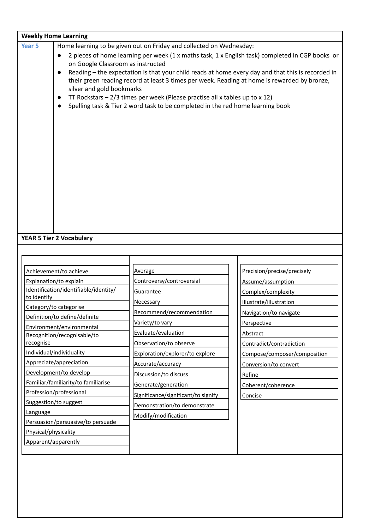| <b>Weekly Home Learning</b>                                     |                                                                                              |                                                                                                   |
|-----------------------------------------------------------------|----------------------------------------------------------------------------------------------|---------------------------------------------------------------------------------------------------|
| Year <sub>5</sub>                                               | Home learning to be given out on Friday and collected on Wednesday:                          |                                                                                                   |
|                                                                 |                                                                                              | 2 pieces of home learning per week (1 x maths task, 1 x English task) completed in CGP books or   |
| on Google Classroom as instructed                               |                                                                                              |                                                                                                   |
| $\bullet$                                                       |                                                                                              | Reading - the expectation is that your child reads at home every day and that this is recorded in |
| silver and gold bookmarks                                       | their green reading record at least 3 times per week. Reading at home is rewarded by bronze, |                                                                                                   |
|                                                                 | TT Rockstars $-2/3$ times per week (Please practise all x tables up to x 12)                 |                                                                                                   |
| $\bullet$                                                       | Spelling task & Tier 2 word task to be completed in the red home learning book               |                                                                                                   |
|                                                                 |                                                                                              |                                                                                                   |
|                                                                 |                                                                                              |                                                                                                   |
|                                                                 |                                                                                              |                                                                                                   |
|                                                                 |                                                                                              |                                                                                                   |
|                                                                 |                                                                                              |                                                                                                   |
|                                                                 |                                                                                              |                                                                                                   |
|                                                                 |                                                                                              |                                                                                                   |
|                                                                 |                                                                                              |                                                                                                   |
|                                                                 |                                                                                              |                                                                                                   |
|                                                                 |                                                                                              |                                                                                                   |
|                                                                 |                                                                                              |                                                                                                   |
|                                                                 |                                                                                              |                                                                                                   |
| <b>YEAR 5 Tier 2 Vocabulary</b>                                 |                                                                                              |                                                                                                   |
|                                                                 |                                                                                              |                                                                                                   |
|                                                                 |                                                                                              |                                                                                                   |
|                                                                 |                                                                                              |                                                                                                   |
| Achievement/to achieve                                          | Average                                                                                      | Precision/precise/precisely                                                                       |
| Explanation/to explain<br>Identification/identifiable/identity/ | Controversy/controversial                                                                    | Assume/assumption                                                                                 |
| to identify                                                     | Guarantee                                                                                    | Complex/complexity                                                                                |
| Category/to categorise                                          | Necessary                                                                                    | Illustrate/illustration                                                                           |
| Definition/to define/definite                                   | Recommend/recommendation                                                                     | Navigation/to navigate                                                                            |
| Environment/environmental                                       | Variety/to vary                                                                              | Perspective                                                                                       |
| Recognition/recognisable/to                                     | Evaluate/evaluation                                                                          | Abstract                                                                                          |
| recognise                                                       | Observation/to observe                                                                       | Contradict/contradiction                                                                          |
| Individual/individuality                                        | Exploration/explorer/to explore                                                              | Compose/composer/composition                                                                      |
| Appreciate/appreciation                                         | Accurate/accuracy                                                                            | Conversion/to convert                                                                             |
| Development/to develop                                          | Discussion/to discuss                                                                        | Refine                                                                                            |
| Familiar/familiarity/to familiarise                             | Generate/generation                                                                          | Coherent/coherence                                                                                |
| Profession/professional                                         | Significance/significant/to signify                                                          | Concise                                                                                           |
| Suggestion/to suggest                                           | Demonstration/to demonstrate                                                                 |                                                                                                   |
| Language                                                        | Modify/modification                                                                          |                                                                                                   |
| Persuasion/persuasive/to persuade                               |                                                                                              |                                                                                                   |
| Physical/physicality                                            |                                                                                              |                                                                                                   |
| Apparent/apparently                                             |                                                                                              |                                                                                                   |
|                                                                 |                                                                                              |                                                                                                   |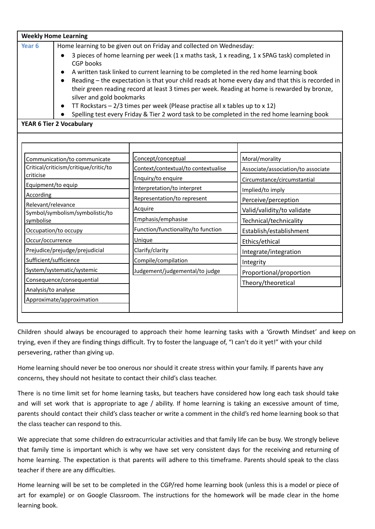|        | <b>Weekly Home Learning</b>                                                                                                                                                                                                                 |
|--------|---------------------------------------------------------------------------------------------------------------------------------------------------------------------------------------------------------------------------------------------|
| Year 6 | Home learning to be given out on Friday and collected on Wednesday:                                                                                                                                                                         |
|        | 3 pieces of home learning per week (1 x maths task, 1 x reading, 1 x SPAG task) completed in<br>$\bullet$<br><b>CGP</b> books                                                                                                               |
|        | A written task linked to current learning to be completed in the red home learning book<br>$\bullet$                                                                                                                                        |
|        | Reading – the expectation is that your child reads at home every day and that this is recorded in<br>$\bullet$<br>their green reading record at least 3 times per week. Reading at home is rewarded by bronze,<br>silver and gold bookmarks |
|        | TT Rockstars $-2/3$ times per week (Please practise all x tables up to x 12)<br>$\bullet$                                                                                                                                                   |
|        | Spelling test every Friday & Tier 2 word task to be completed in the red home learning book<br>$\bullet$                                                                                                                                    |

#### **YEAR 6 Tier 2 Vocabulary**

| Communication/to communicate                 | Concept/conceptual                  | Moral/morality                     |
|----------------------------------------------|-------------------------------------|------------------------------------|
| Critical/criticism/critique/critic/to        | Context/contextual/to contextualise | Associate/association/to associate |
| criticise                                    | Enquiry/to enquire                  | Circumstance/circumstantial        |
| Equipment/to equip                           | Interpretation/to interpret         | Implied/to imply                   |
| According                                    | Representation/to represent         | Perceive/perception                |
| Relevant/relevance                           | Acquire                             | Valid/validity/to validate         |
| Symbol/symbolism/symbolistic/to<br>symbolise | Emphasis/emphasise                  | Technical/technicality             |
| Occupation/to occupy                         | Function/functionality/to function  | Establish/establishment            |
| Occur/occurrence                             | Unique                              | Ethics/ethical                     |
| Prejudice/prejudge/prejudicial               | Clarify/clarity                     | Integrate/integration              |
| Sufficient/sufficience                       | Compile/compilation                 | Integrity                          |
| System/systematic/systemic                   | Judgement/judgemental/to judge      | Proportional/proportion            |
| Consequence/consequential                    |                                     | Theory/theoretical                 |
| Analysis/to analyse                          |                                     |                                    |
| Approximate/approximation                    |                                     |                                    |

Children should always be encouraged to approach their home learning tasks with a 'Growth Mindset' and keep on trying, even if they are finding things difficult. Try to foster the language of, "I can't do it yet!" with your child persevering, rather than giving up.

Home learning should never be too onerous nor should it create stress within your family. If parents have any concerns, they should not hesitate to contact their child's class teacher.

There is no time limit set for home learning tasks, but teachers have considered how long each task should take and will set work that is appropriate to age / ability. If home learning is taking an excessive amount of time, parents should contact their child's class teacher or write a comment in the child's red home learning book so that the class teacher can respond to this.

We appreciate that some children do extracurricular activities and that family life can be busy. We strongly believe that family time is important which is why we have set very consistent days for the receiving and returning of home learning. The expectation is that parents will adhere to this timeframe. Parents should speak to the class teacher if there are any difficulties.

Home learning will be set to be completed in the CGP/red home learning book (unless this is a model or piece of art for example) or on Google Classroom. The instructions for the homework will be made clear in the home learning book.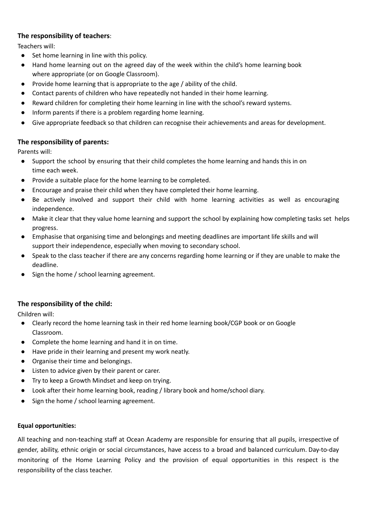## **The responsibility of teachers**:

Teachers will:

- Set home learning in line with this policy.
- Hand home learning out on the agreed day of the week within the child's home learning book where appropriate (or on Google Classroom).
- Provide home learning that is appropriate to the age / ability of the child.
- Contact parents of children who have repeatedly not handed in their home learning.
- Reward children for completing their home learning in line with the school's reward systems.
- Inform parents if there is a problem regarding home learning.
- Give appropriate feedback so that children can recognise their achievements and areas for development.

# **The responsibility of parents:**

Parents will:

- Support the school by ensuring that their child completes the home learning and hands this in on time each week.
- Provide a suitable place for the home learning to be completed.
- Encourage and praise their child when they have completed their home learning.
- Be actively involved and support their child with home learning activities as well as encouraging independence.
- Make it clear that they value home learning and support the school by explaining how completing tasks set helps progress.
- Emphasise that organising time and belongings and meeting deadlines are important life skills and will support their independence, especially when moving to secondary school.
- Speak to the class teacher if there are any concerns regarding home learning or if they are unable to make the deadline.
- Sign the home / school learning agreement.

#### **The responsibility of the child:**

Children will:

- Clearly record the home learning task in their red home learning book/CGP book or on Google Classroom.
- Complete the home learning and hand it in on time.
- Have pride in their learning and present my work neatly.
- Organise their time and belongings.
- Listen to advice given by their parent or carer.
- Try to keep a Growth Mindset and keep on trying.
- Look after their home learning book, reading / library book and home/school diary.
- Sign the home / school learning agreement.

#### **Equal opportunities:**

All teaching and non-teaching staff at Ocean Academy are responsible for ensuring that all pupils, irrespective of gender, ability, ethnic origin or social circumstances, have access to a broad and balanced curriculum. Day-to-day monitoring of the Home Learning Policy and the provision of equal opportunities in this respect is the responsibility of the class teacher.